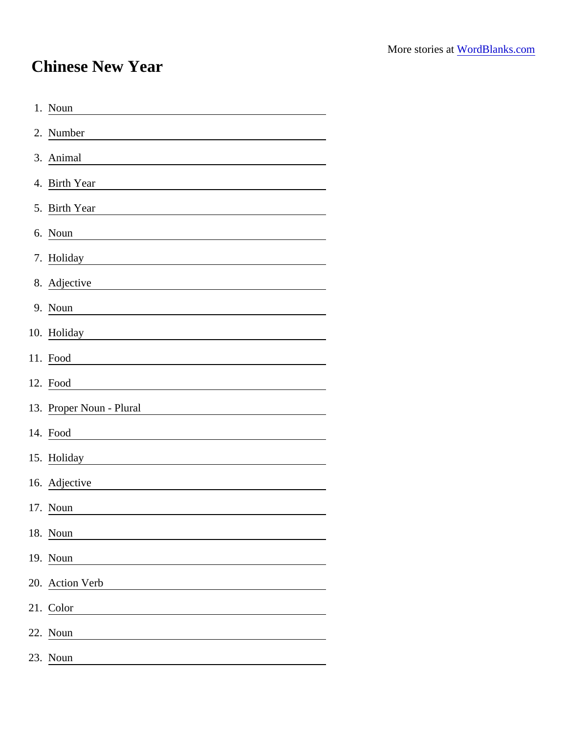## Chinese New Year

| 1. Noun                                                                                                                            |
|------------------------------------------------------------------------------------------------------------------------------------|
| 2. Number                                                                                                                          |
| 3. Animal                                                                                                                          |
| 4. Birth Year                                                                                                                      |
| 5. Birth Year                                                                                                                      |
| 6. Noun                                                                                                                            |
| 7. Holiday<br><u> 1980 - Johann Barn, mars ann an t-Amhain Aonaich an t-Aonaich an t-Aonaich ann an t-Aonaich ann an t-Aonaich</u> |
| 8. Adjective                                                                                                                       |
| 9. Noun<br><u> 1989 - Johann Barbara, martin amerikan basar dan basa dan basar dalam basa dalam basa dalam basa dalam basa </u>    |
| 10. Holiday <b>10. Holiday</b> 10. Holiday                                                                                         |
| 11. Food                                                                                                                           |
| 12. Food                                                                                                                           |
| 13. Proper Noun - Plural                                                                                                           |
| 14. Food<br><u> 1980 - Andrea Stadt Britain, fransk politik (</u>                                                                  |
| 15. Holiday                                                                                                                        |
| 16. Adjective                                                                                                                      |
| 17. Noun                                                                                                                           |
| 18. Noun                                                                                                                           |
| 19. Noun                                                                                                                           |
| 20. Action Verb                                                                                                                    |
| 21. Color                                                                                                                          |
| 22. Noun                                                                                                                           |
| 23. Noun                                                                                                                           |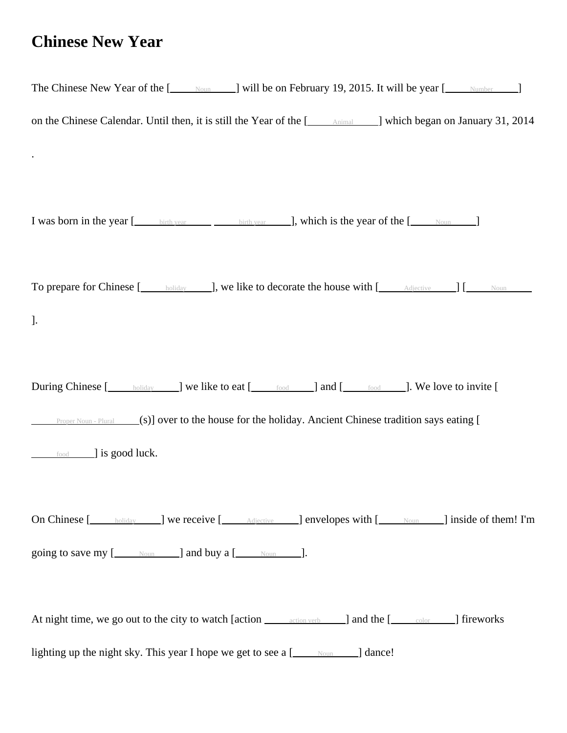## **Chinese New Year**

| The Chinese New Year of the [ <b><i>Moun</i></b> J will be on February 19, 2015. It will be year [ <i>Mumber</i> J]                                                                                                                                                                |
|------------------------------------------------------------------------------------------------------------------------------------------------------------------------------------------------------------------------------------------------------------------------------------|
| on the Chinese Calendar. Until then, it is still the Year of the [ <b>Animal</b> Number 21, 2014 and Number 21, 2014                                                                                                                                                               |
|                                                                                                                                                                                                                                                                                    |
|                                                                                                                                                                                                                                                                                    |
| I was born in the year [ <u>Landstrik year contributed</u> with year contributed birth year contributed by <b>Company</b> and <b>Company</b> birth year contributed by <b>Company</b> and <b>Company</b> birth year contributed by <b>Company</b> and <b>Compan</b>                |
|                                                                                                                                                                                                                                                                                    |
| To prepare for Chinese [ <u>ching and soliday</u> and <b>J</b> ], we like to decorate the house with [ching adjective and <b>J</b> [ching and <b>J</b> [ching and <b>J</b> [ching and <b>J</b> [ching and <b>J</b> [ching and <b>J</b> [ching and <b>J</b> [ching and <b>J</b> [ch |
| ].                                                                                                                                                                                                                                                                                 |
|                                                                                                                                                                                                                                                                                    |
| During Chinese [holiday ] we like to eat [https://educational and [https://educational During Chinese [https://                                                                                                                                                                    |
| <b>Proper Noun - Plural</b> (s)] over to the house for the holiday. Ancient Chinese tradition says eating [                                                                                                                                                                        |
| <u>food</u> ] is good luck.                                                                                                                                                                                                                                                        |
|                                                                                                                                                                                                                                                                                    |
| On Chinese [ <u>consideration controls and <b>numerical</b></u> controls and <b>numerical</b> with [consideration controls and <b>numerical</b> controls and <b>numerical</b> model of them! I'm                                                                                   |
|                                                                                                                                                                                                                                                                                    |
|                                                                                                                                                                                                                                                                                    |
| At night time, we go out to the city to watch [action exaction verb ] and the [station color ] fireworks                                                                                                                                                                           |
| lighting up the night sky. This year I hope we get to see a [__________________] dance!                                                                                                                                                                                            |